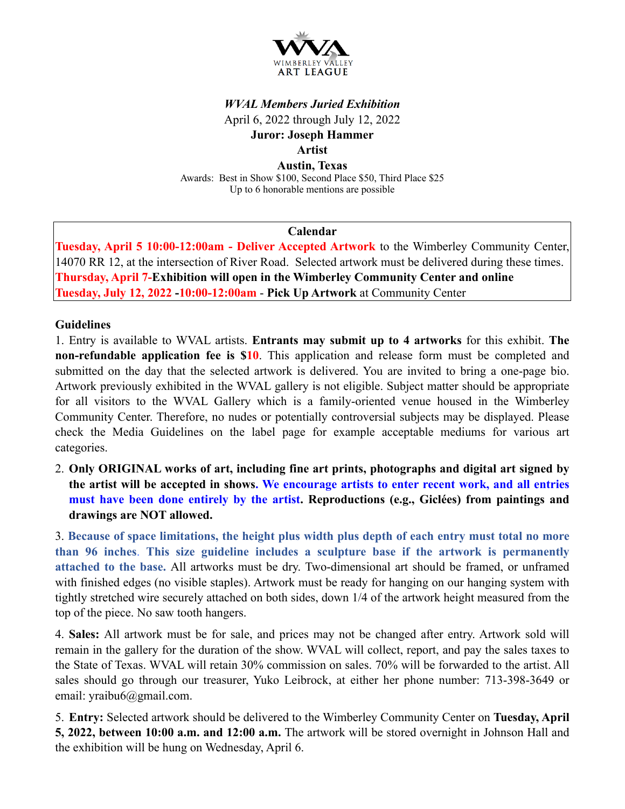

# *WVAL Members Juried Exhibition*  April 6, 2022 through July 12, 2022 **Juror: Joseph Hammer Artist Austin, Texas**

Awards: Best in Show \$100, Second Place \$50, Third Place \$25 Up to 6 honorable mentions are possible

### **Calendar**

**Tuesday, April 5 10:00-12:00am - Deliver Accepted Artwork** to the Wimberley Community Center, 14070 RR 12, at the intersection of River Road. Selected artwork must be delivered during these times. **Thursday, April 7-Exhibition will open in the Wimberley Community Center and online Tuesday, July 12, 2022 -10:00-12:00am** - **Pick Up Artwork** at Community Center

### **Guidelines**

1. Entry is available to WVAL artists. **Entrants may submit up to 4 artworks** for this exhibit. **The non-refundable application fee is \$10**. This application and release form must be completed and submitted on the day that the selected artwork is delivered. You are invited to bring a one-page bio. Artwork previously exhibited in the WVAL gallery is not eligible. Subject matter should be appropriate for all visitors to the WVAL Gallery which is a family-oriented venue housed in the Wimberley Community Center. Therefore, no nudes or potentially controversial subjects may be displayed. Please check the Media Guidelines on the label page for example acceptable mediums for various art categories.

2. **Only ORIGINAL works of art, including fine art prints, photographs and digital art signed by the artist will be accepted in shows. We encourage artists to enter recent work, and all entries must have been done entirely by the artist. Reproductions (e.g., Giclées) from paintings and drawings are NOT allowed.**

3. **Because of space limitations, the height plus width plus depth of each entry must total no more than 96 inches**. **This size guideline includes a sculpture base if the artwork is permanently attached to the base.** All artworks must be dry. Two-dimensional art should be framed, or unframed with finished edges (no visible staples). Artwork must be ready for hanging on our hanging system with tightly stretched wire securely attached on both sides, down 1/4 of the artwork height measured from the top of the piece. No saw tooth hangers.

4. **Sales:** All artwork must be for sale, and prices may not be changed after entry. Artwork sold will remain in the gallery for the duration of the show. WVAL will collect, report, and pay the sales taxes to the State of Texas. WVAL will retain 30% commission on sales. 70% will be forwarded to the artist. All sales should go through our treasurer, Yuko Leibrock, at either her phone number: 713-398-3649 or email: yraibu6@gmail.com.

5. **Entry:** Selected artwork should be delivered to the Wimberley Community Center on **Tuesday, April 5, 2022, between 10:00 a.m. and 12:00 a.m.** The artwork will be stored overnight in Johnson Hall and the exhibition will be hung on Wednesday, April 6.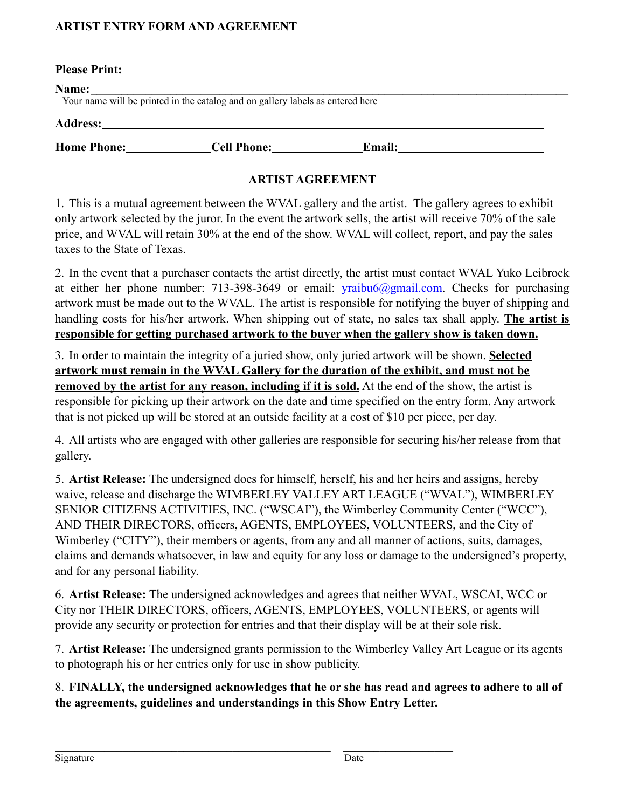### **ARTIST ENTRY FORM AND AGREEMENT**

#### **Please Print:**

Your name will be printed in the catalog and on gallery labels as entered here

|  | <b>Address:</b> |
|--|-----------------|
|--|-----------------|

**Home Phone: Cell Phone: Email:**

## **ARTIST AGREEMENT**

1. This is a mutual agreement between the WVAL gallery and the artist. The gallery agrees to exhibit only artwork selected by the juror. In the event the artwork sells, the artist will receive 70% of the sale price, and WVAL will retain 30% at the end of the show. WVAL will collect, report, and pay the sales taxes to the State of Texas.

2. In the event that a purchaser contacts the artist directly, the artist must contact WVAL Yuko Leibrock at either her phone number: 713-398-3649 or email:  $v$ raibu6@gmail.com. Checks for purchasing artwork must be made out to the WVAL. The artist is responsible for notifying the buyer of shipping and handling costs for his/her artwork. When shipping out of state, no sales tax shall apply. **The artist is responsible for getting purchased artwork to the buyer when the gallery show is taken down.**

3. In order to maintain the integrity of a juried show, only juried artwork will be shown. **Selected artwork must remain in the WVAL Gallery for the duration of the exhibit, and must not be removed by the artist for any reason, including if it is sold.** At the end of the show, the artist is responsible for picking up their artwork on the date and time specified on the entry form. Any artwork that is not picked up will be stored at an outside facility at a cost of \$10 per piece, per day.

4. All artists who are engaged with other galleries are responsible for securing his/her release from that gallery.

5. **Artist Release:** The undersigned does for himself, herself, his and her heirs and assigns, hereby waive, release and discharge the WIMBERLEY VALLEY ART LEAGUE ("WVAL"), WIMBERLEY SENIOR CITIZENS ACTIVITIES, INC. ("WSCAI"), the Wimberley Community Center ("WCC"), AND THEIR DIRECTORS, officers, AGENTS, EMPLOYEES, VOLUNTEERS, and the City of Wimberley ("CITY"), their members or agents, from any and all manner of actions, suits, damages, claims and demands whatsoever, in law and equity for any loss or damage to the undersigned's property, and for any personal liability.

6. **Artist Release:** The undersigned acknowledges and agrees that neither WVAL, WSCAI, WCC or City nor THEIR DIRECTORS, officers, AGENTS, EMPLOYEES, VOLUNTEERS, or agents will provide any security or protection for entries and that their display will be at their sole risk.

7. **Artist Release:** The undersigned grants permission to the Wimberley Valley Art League or its agents to photograph his or her entries only for use in show publicity.

8. **FINALLY, the undersigned acknowledges that he or she has read and agrees to adhere to all of the agreements, guidelines and understandings in this Show Entry Letter.**

 $\mathcal{L}_\text{max}$  , and the contribution of the contribution of the contribution of the contribution of the contribution of the contribution of the contribution of the contribution of the contribution of the contribution of t

Signature Date